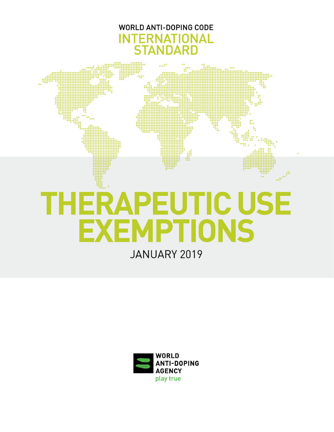

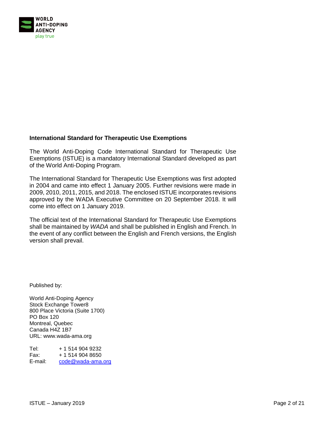

#### **International Standard for Therapeutic Use Exemptions**

The World Anti-Doping Code International Standard for Therapeutic Use Exemptions (ISTUE) is a mandatory International Standard developed as part of the World Anti-Doping Program.

The International Standard for Therapeutic Use Exemptions was first adopted in 2004 and came into effect 1 January 2005. Further revisions were made in 2009, 2010, 2011, 2015, and 2018. The enclosed ISTUE incorporates revisions approved by the WADA Executive Committee on 20 September 2018. It will come into effect on 1 January 2019.

The official text of the International Standard for Therapeutic Use Exemptions shall be maintained by *WADA* and shall be published in English and French. In the event of any conflict between the English and French versions, the English version shall prevail.

Published by:

World Anti-Doping Agency Stock Exchange Tower8 800 Place Victoria (Suite 1700) PO Box 120 Montreal, Quebec Canada H4Z 1B7 URL: www.wada-ama.org

Tel: + 1 514 904 9232 Fax: + 1 514 904 8650 E-mail: [code@wada-ama.org](mailto:code@wada-ama.org)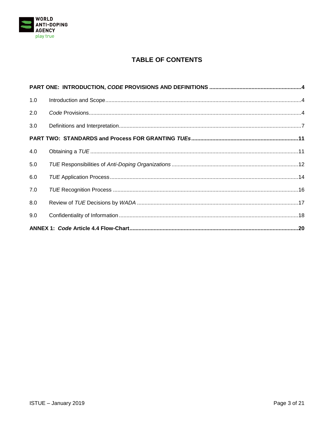

# **TABLE OF CONTENTS**

| 1.0 |  |
|-----|--|
| 2.0 |  |
| 3.0 |  |
|     |  |
| 4.0 |  |
| 5.0 |  |
| 6.0 |  |
| 7.0 |  |
| 8.0 |  |
| 9.0 |  |
|     |  |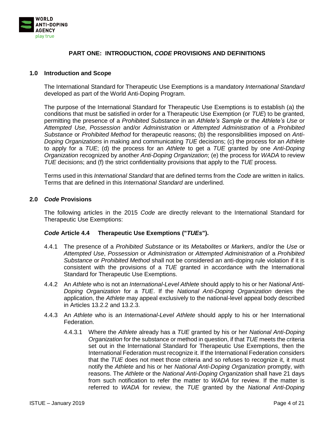

## **PART ONE: INTRODUCTION,** *CODE* **PROVISIONS AND DEFINITIONS**

#### <span id="page-3-1"></span><span id="page-3-0"></span>**1.0 Introduction and Scope**

The International Standard for Therapeutic Use Exemptions is a mandatory *International Standard* developed as part of the World Anti-Doping Program.

The purpose of the International Standard for Therapeutic Use Exemptions is to establish (a) the conditions that must be satisfied in order for a Therapeutic Use Exemption (or *TUE*) to be granted, permitting the presence of a *Prohibited Substance* in an *Athlete's Sample* or the *Athlete's Use* or *Attempted Use*, *Possession* and/or *Administration* or *Attempted Administration* of a *Prohibited Substance* or *Prohibited Method* for therapeutic reasons; (b) the responsibilities imposed on *Anti-Doping Organizations* in making and communicating *TUE* decisions; (c) the process for an *Athlete*  to apply for a *TUE*; (d) the process for an *Athlete* to get a *TUE* granted by one *Anti-Doping Organization* recognized by another *Anti-Doping Organization*; (e) the process for *WADA* to review *TUE* decisions; and (f) the strict confidentiality provisions that apply to the *TUE* process*.*

Terms used in this *International Standard* that are defined terms from the *Code* are written in italics. Terms that are defined in this *International Standard* are underlined.

#### <span id="page-3-2"></span>**2.0** *Code* **Provisions**

The following articles in the 2015 *Code* are directly relevant to the International Standard for Therapeutic Use Exemptions:

#### *Code* **Article 4.4 Therapeutic Use Exemptions ("***TUEs***").**

- 4.4.1 The presence of a *Prohibited Substance* or its *Metabolites* or *Markers*, and/or the *Use* or *Attempted Use*, *Possession* or *Administration* or *Attempted Administration* of a *Prohibited Substance* or *Prohibited Method* shall not be considered an anti-doping rule violation if it is consistent with the provisions of a *TUE* granted in accordance with the International Standard for Therapeutic Use Exemptions.
- 4.4.2 An *Athlete* who is not an *International-Level Athlete* should apply to his or her *National Anti-Doping Organization* for a *TUE*. If the *National Anti-Doping Organization* denies the application, the *Athlete* may appeal exclusively to the national-level appeal body described in Articles 13.2.2 and 13.2.3.
- 4.4.3 An *Athlete* who is an *International-Level Athlete* should apply to his or her International Federation.
	- 4.4.3.1 Where the *Athlete* already has a *TUE* granted by his or her *National Anti-Doping Organization* for the substance or method in question, if that *TUE* meets the criteria set out in the International Standard for Therapeutic Use Exemptions, then the International Federation must recognize it. If the International Federation considers that the *TUE* does not meet those criteria and so refuses to recognize it, it must notify the *Athlete* and his or her *National Anti-Doping Organization* promptly, with reasons. The *Athlete* or the *National Anti-Doping Organization* shall have 21 days from such notification to refer the matter to *WADA* for review. If the matter is referred to *WADA* for review, the *TUE* granted by the *National Anti-Doping*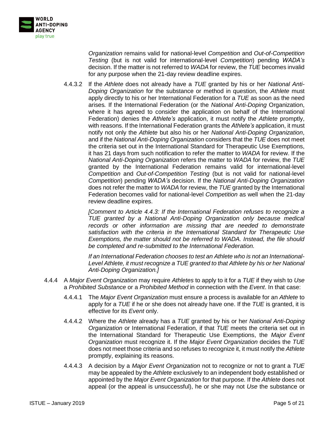

*Organization* remains valid for national-level *Competition* and *Out-of-Competition Testing* (but is not valid for international-level *Competition*) pending *WADA's*  decision. If the matter is not referred to *WADA* for review, the *TUE* becomes invalid for any purpose when the 21-day review deadline expires.

4.4.3.2 If the *Athlete* does not already have a *TUE* granted by his or her *National Anti-Doping Organization* for the substance or method in question, the *Athlete* must apply directly to his or her International Federation for a *TUE* as soon as the need arises*.* If the International Federation (or the *National Anti-Doping* Organization, where it has agreed to consider the application on behalf of the International Federation) denies the *Athlete's* application, it must notify the *Athlete* promptly, with reasons. If the International Federation grants the *Athlete's* application, it must notify not only the *Athlete* but also his or her *National Anti-Doping Organization*, and if the *National Anti-Doping Organization* considers that the *TUE* does not meet the criteria set out in the International Standard for Therapeutic Use Exemptions, it has 21 days from such notification to refer the matter to *WADA* for review. If the *National Anti-Doping Organization* refers the matter to *WADA* for review, the *TUE* granted by the International Federation remains valid for international-level *Competition* and *Out-of-Competition Testing* (but is not valid for national-level *Competition*) pending *WADA's* decision. If the *National Anti-Doping Organization*  does not refer the matter to *WADA* for review, the *TUE* granted by the International Federation becomes valid for national-level *Competition* as well when the 21-day review deadline expires.

*[Comment to Article 4.4.3: If the International Federation refuses to recognize a TUE granted by a National Anti-Doping Organization only because medical records or other information are missing that are needed to demonstrate satisfaction with the criteria in the International Standard for Therapeutic Use Exemptions, the matter should not be referred to WADA. Instead, the file should be completed and re-submitted to the International Federation.*

*If an International Federation chooses to test an Athlete who is not an International-Level Athlete, it must recognize a TUE granted to that Athlete by his or her National Anti-Doping Organization.]*

- 4.4.4 A *Major Event Organization* may require *Athletes* to apply to it for a *TUE* if they wish to *Use*  a *Prohibited Substance* or a *Prohibited Method* in connection with the *Event*. In that case:
	- 4.4.4.1 The *Major Event Organization* must ensure a process is available for an *Athlete* to apply for a *TUE* if he or she does not already have one. If the *TUE* is granted, it is effective for its *Event* only.
	- 4.4.4.2 Where the *Athlete* already has a *TUE* granted by his or her *National Anti-Doping Organization* or International Federation, if that *TUE* meets the criteria set out in the International Standard for Therapeutic Use Exemptions, the *Major Event Organization* must recognize it. If the *Major Event Organization* decides the *TUE* does not meet those criteria and so refuses to recognize it, it must notify the *Athlete*  promptly, explaining its reasons.
	- 4.4.4.3 A decision by a *Major Event Organization* not to recognize or not to grant a *TUE* may be appealed by the *Athlete* exclusively to an independent body established or appointed by the *Major Event Organization* for that purpose*.* If the *Athlete* does not appeal (or the appeal is unsuccessful), he or she may not *Use* the substance or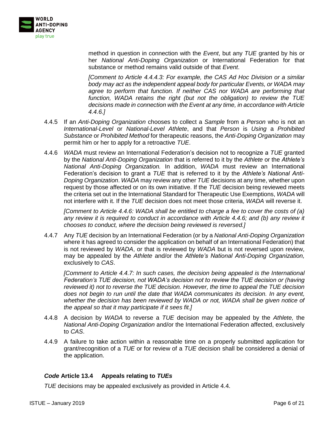

method in question in connection with the *Event*, but any *TUE* granted by his or her *National Anti-Doping Organization* or International Federation for that substance or method remains valid outside of that *Event*.

*[Comment to Article 4.4.4.3: For example, the CAS Ad Hoc Division or a similar body may act as the independent appeal body for particular Events, or WADA may*  agree to perform that function. If neither CAS nor WADA are performing that *function, WADA retains the right (but not the obligation) to review the TUE decisions made in connection with the Event at any time, in accordance with Article 4.4.6.]*

- 4.4.5 If an *Anti-Doping Organization* chooses to collect a *Sample* from a *Person* who is not an *International-Level* or *National-Level Athlete*, and that *Person* is *Using* a *Prohibited Substance* or *Prohibited Method* for therapeutic reasons, the *Anti-Doping Organization* may permit him or her to apply for a retroactive *TUE*.
- 4.4.6 *WADA* must review an International Federation's decision not to recognize a *TUE* granted by the *National Anti-Doping Organization* that is referred to it by the *Athlete* or the *Athlete's National Anti-Doping Organization.* In addition, *WADA* must review an International Federation's decision to grant a *TUE* that is referred to it by the *Athlete's National Anti-Doping Organization*. *WADA* may review any other *TUE* decisions at any time, whether upon request by those affected or on its own initiative. If the *TUE* decision being reviewed meets the criteria set out in the International Standard for Therapeutic Use Exemptions, *WADA* will not interfere with it. If the *TUE* decision does not meet those criteria, *WADA* will reverse it.

*[Comment to Article 4.4.6: WADA shall be entitled to charge a fee to cover the costs of (a) any review it is required to conduct in accordance with Article 4.4.6; and (b) any review it chooses to conduct, where the decision being reviewed is reversed.]*

4.4.7 Any *TUE* decision by an International Federation (or by a *National Anti-Doping Organization*  where it has agreed to consider the application on behalf of an International Federation) that is not reviewed by *WADA*, or that is reviewed by *WADA* but is not reversed upon review, may be appealed by the *Athlete* and/or the *Athlete's National Anti-Doping Organization,*  exclusively to *CAS*.

*[Comment to Article 4.4.7: In such cases, the decision being appealed is the International Federation's TUE decision, not WADA's decision not to review the TUE decision or (having reviewed it) not to reverse the TUE decision. However, the time to appeal the TUE decision does not begin to run until the date that WADA communicates its decision. In any event,*  whether the decision has been reviewed by WADA or not, WADA shall be given notice of *the appeal so that it may participate if it sees fit.]*

- 4.4.8 A decision by *WADA* to reverse a *TUE* decision may be appealed by the *Athlete,* the *National Anti-Doping Organization* and/or the International Federation affected, exclusively to *CAS*.
- 4.4.9 A failure to take action within a reasonable time on a properly submitted application for grant/recognition of a *TUE* or for review of a *TUE* decision shall be considered a denial of the application.

## *Code* **Article 13.4 Appeals relating to** *TUEs*

*TUE* decisions may be appealed exclusively as provided in Article 4.4.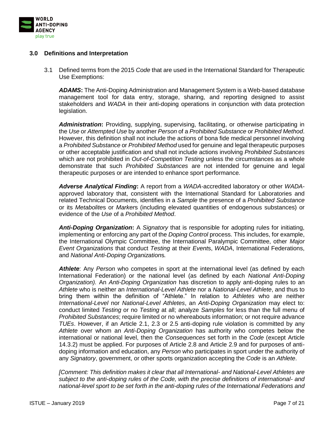

#### <span id="page-6-0"></span>**3.0 Definitions and Interpretation**

3.1 Defined terms from the 2015 *Code* that are used in the International Standard for Therapeutic Use Exemptions:

*ADAMS***:** The Anti-Doping Administration and Management System is a Web-based database management tool for data entry, storage, sharing, and reporting designed to assist stakeholders and *WADA* in their anti-doping operations in conjunction with data protection legislation.

*Administration***:** Providing, supplying, supervising, facilitating, or otherwise participating in the *Use* or *Attempted Use* by another *Person* of a *Prohibited Substance* or *Prohibited Method*. However, this definition shall not include the actions of bona fide medical personnel involving a *Prohibited Substance* or *Prohibited Method* used for genuine and legal therapeutic purposes or other acceptable justification and shall not include actions involving *Prohibited Substances*  which are not prohibited in *Out-of-Competition Testing* unless the circumstances as a whole demonstrate that such *Prohibited Substances* are not intended for genuine and legal therapeutic purposes or are intended to enhance sport performance*.*

*Adverse Analytical Finding***:** A report from a *WADA-*accredited laboratory or other *WADA*approved laboratory that, consistent with the International Standard for Laboratories and related Technical Documents, identifies in a *Sample* the presence of a *Prohibited Substance* or its *Metabolite*s or *Marker*s (including elevated quantities of endogenous substances) or evidence of the *Use* of a *Prohibited Method*.

*Anti-Doping Organization***:** A *Signatory* that is responsible for adopting rules for initiating, implementing or enforcing any part of the *Doping Control* process. This includes, for example, the International Olympic Committee, the International Paralympic Committee, other *Major Event Organizations* that conduct *Testing* at their *Event*s, *WADA*, International Federations, and *National Anti-Doping Organization*s*.*

*Athlete*: Any *Person* who competes in sport at the international level (as defined by each International Federation) or the national level (as defined by each *National Anti-Doping Organization).* An *Anti-Doping Organization* has discretion to apply anti-doping rules to an *Athlete* who is neither an *International-Level Athlete* nor a *National-Level Athlete*, and thus to bring them within the definition of "Athlete." In relation to *Athletes* who are neither *International-Level* nor *National-Level Athletes*, an *Anti-Doping Organization* may elect to: conduct limited *Testing* or no *Testing* at all; analyze *Samples* for less than the full menu of *Prohibited Substances*; require limited or no whereabouts information; or not require advance *TUEs*. However, if an Article 2.1, 2.3 or 2.5 anti-doping rule violation is committed by any *Athlete* over whom an *Anti-Doping Organization* has authority who competes below the international or national level, then the *Consequences* set forth in the *Code* (except Article 14.3.2) must be applied. For purposes of Article 2.8 and Article 2.9 and for purposes of antidoping information and education, any *Person* who participates in sport under the authority of any *Signatory*, government, or other sports organization accepting the *Code* is an *Athlete*.

*[Comment: This definition makes it clear that all International- and National-Level Athletes are subject to the anti-doping rules of the Code, with the precise definitions of international- and national-level sport to be set forth in the anti-doping rules of the International Federations and*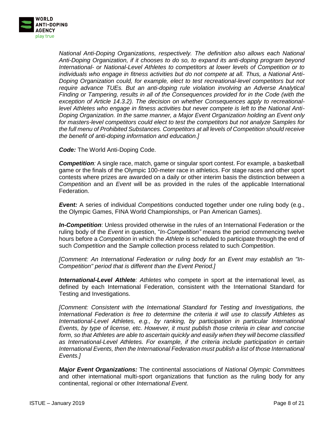

*National Anti-Doping Organizations, respectively. The definition also allows each National Anti-Doping Organization, if it chooses to do so, to expand its anti-doping program beyond International- or National-Level Athletes to competitors at lower levels of Competition or to individuals who engage in fitness activities but do not compete at all. Thus, a National Anti-Doping Organization could, for example, elect to test recreational-level competitors but not require advance TUEs. But an anti-doping rule violation involving an Adverse Analytical Finding or Tampering, results in all of the Consequences provided for in the Code (with the exception of Article 14.3.2). The decision on whether Consequences apply to recreationallevel Athletes who engage in fitness activities but never compete is left to the National Anti-Doping Organization. In the same manner, a Major Event Organization holding an Event only for masters-level competitors could elect to test the competitors but not analyze Samples for the full menu of Prohibited Substances. Competitors at all levels of Competition should receive the benefit of anti-doping information and education.]*

*Code:* The World Anti-Doping Code.

**Competition**: A single race, match, game or singular sport contest. For example, a basketball game or the finals of the Olympic 100-meter race in athletics. For stage races and other sport contests where prizes are awarded on a daily or other interim basis the distinction between a *Competition* and an *Event* will be as provided in the rules of the applicable International Federation.

*Event:* A series of individual *Competition*s conducted together under one ruling body (e.g., the Olympic Games, FINA World Championships, or Pan American Games).

*In-Competition*: Unless provided otherwise in the rules of an International Federation or the ruling body of the *Event* in question, "*In-Competition"* means the period commencing twelve hours before a *Competition* in which the *Athlete* is scheduled to participate through the end of such *Competition* and the *Sample* collection process related to such *Competition*.

*[Comment: An International Federation or ruling body for an Event may establish an "In-Competition" period that is different than the Event Period.]*

*International-Level Athlete: Athletes* who compete in sport at the international level, as defined by each International Federation, consistent with the International Standard for Testing and Investigations.

*[Comment: Consistent with the International Standard for Testing and Investigations, the International Federation is free to determine the criteria it will use to classify Athletes as International-Level Athletes, e.g., by ranking, by participation in particular International Events, by type of license, etc. However, it must publish those criteria in clear and concise form, so that Athletes are able to ascertain quickly and easily when they will become classified as International-Level Athletes. For example, if the criteria include participation in certain International Events, then the International Federation must publish a list of those International Events.]*

*Major Event Organizations:* The continental associations of *National Olympic Committee*s and other international multi-sport organizations that function as the ruling body for any continental, regional or other *International Event*.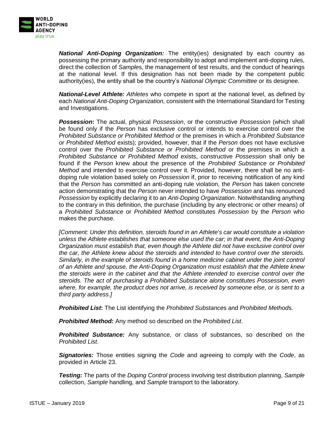

*National Anti-Doping Organization:* The entity(ies) designated by each country as possessing the primary authority and responsibility to adopt and implement anti-doping rules, direct the collection of *Sample*s, the management of test results, and the conduct of hearings at the national level. If this designation has not been made by the competent public authority(ies), the entity shall be the country's *National Olympic Committee* or its designee.

*National-Level Athlete: Athletes* who compete in sport at the national level, as defined by each *National Anti-Doping Organization,* consistent with the International Standard for Testing and Investigations.

*Possession***:** The actual, physical *Possession*, or the constructive *Possession* (which shall be found only if the *Person* has exclusive control or intends to exercise control over the *Prohibited Substance or Prohibited Method* or the premises in which a *Prohibited Substance or Prohibited Method* exists); provided, however, that if the *Person* does not have exclusive control over the *Prohibited Substance or Prohibited Method* or the premises in which a *Prohibited Substance or Prohibited Method* exists, constructive *Possession* shall only be found if the *Person* knew about the presence of the *Prohibited Substance or Prohibited Method* and intended to exercise control over it. Provided, however, there shall be no antidoping rule violation based solely on *Possession* if, prior to receiving notification of any kind that the *Person* has committed an anti-doping rule violation, the *Person* has taken concrete action demonstrating that the *Person* never intended to have *Possession* and has renounced *Possession* by explicitly declaring it to an *Anti-Doping Organization*. Notwithstanding anything to the contrary in this definition, the purchase (including by any electronic or other means) of a *Prohibited Substance* or *Prohibited Method* constitutes *Possession* by the *Person* who makes the purchase.

*[Comment: Under this definition, steroids found in an Athlete*'*s car would constitute a violation unless the Athlete establishes that someone else used the car; in that event, the Anti-Doping Organization must establish that, even though the Athlete did not have exclusive control over the car, the Athlete knew about the steroids and intended to have control over the steroids. Similarly, in the example of steroids found in a home medicine cabinet under the joint control of an Athlete and spouse, the Anti-Doping Organization must establish that the Athlete knew the steroids were in the cabinet and that the Athlete intended to exercise control over the steroids. The act of purchasing a Prohibited Substance alone constitutes Possession, even where, for example, the product does not arrive, is received by someone else, or is sent to a third party address.]*

*Prohibited List***:** The List identifying the *Prohibited Substance*s and *Prohibited Method*s.

*Prohibited Method:* Any method so described on the *Prohibited List*.

**Prohibited Substance:** Any substance, or class of substances, so described on the *Prohibited List*.

*Signatories:* Those entities signing the *Code* and agreeing to comply with the *Code*, as provided in Article 23.

*Testing:* The parts of the *Doping Control* process involving test distribution planning, *Sample*  collection, *Sample* handling, and *Sample* transport to the laboratory.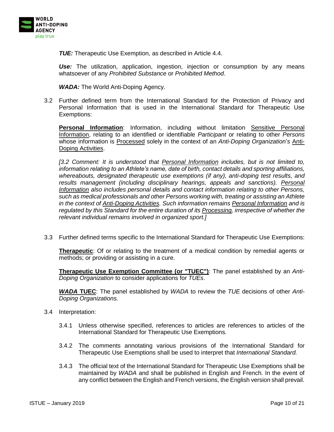

*TUE:* Therapeutic Use Exemption, as described in Article 4.4.

*Use:* The utilization, application, ingestion, injection or consumption by any means whatsoever of any *Prohibited Substance* or *Prohibited Method*.

*WADA:* The World Anti-Doping Agency.

3.2 Further defined term from the International Standard for the Protection of Privacy and Personal Information that is used in the International Standard for Therapeutic Use Exemptions:

Personal Information: Information, including without limitation **Sensitive Personal** Information, relating to an identified or identifiable *Participant* or relating to other *Persons* whose information is Processed solely in the context of an *Anti-Doping Organization*'*s* Anti-Doping Activities.

*[3.2 Comment: It is understood that Personal Information includes, but is not limited to, information relating to an Athlete's name, date of birth, contact details and sporting affiliations, whereabouts, designated therapeutic use exemptions (if any), anti-doping test results, and*  results management *(including disciplinary hearings, appeals and sanctions)*. Personal *Information also includes personal details and contact information relating to other Persons, such as medical professionals and other Persons working with, treating or assisting an Athlete in the context of Anti-Doping Activities. Such information remains Personal Information and is regulated by this Standard for the entire duration of its Processing, irrespective of whether the relevant individual remains involved in organized sport.]*

3.3 Further defined terms specific to the International Standard for Therapeutic Use Exemptions:

**Therapeutic**: Of or relating to the treatment of a medical condition by remedial agents or methods; or providing or assisting in a cure.

**Therapeutic Use Exemption Committee (or "TUEC")**: The panel established by an *Anti-Doping Organization* to consider applications for *TUEs*.

*WADA* **TUEC**: The panel established by *WADA* to review the *TUE* decisions of other *Anti-Doping Organizations.*

- 3.4 Interpretation:
	- 3.4.1 Unless otherwise specified, references to articles are references to articles of the International Standard for Therapeutic Use Exemptions*.*
	- 3.4.2 The comments annotating various provisions of the International Standard for Therapeutic Use Exemptions shall be used to interpret that *International Standard.*
	- 3.4.3 The official text of the International Standard for Therapeutic Use Exemptions shall be maintained by *WADA* and shall be published in English and French. In the event of any conflict between the English and French versions, the English version shall prevail.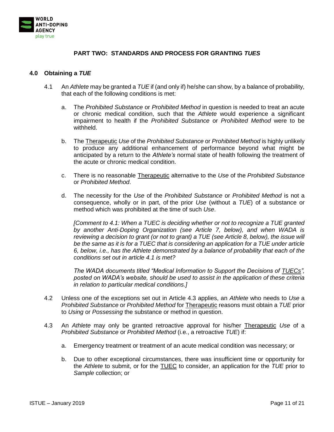

## **PART TWO: STANDARDS AND PROCESS FOR GRANTING** *TUES*

#### <span id="page-10-1"></span><span id="page-10-0"></span>**4.0 Obtaining a** *TUE*

- 4.1 An *Athlete* may be granted a *TUE* if (and only if) he/she can show, by a balance of probability, that each of the following conditions is met:
	- a. The *Prohibited Substance* or *Prohibited Method* in question is needed to treat an acute or chronic medical condition, such that the *Athlete* would experience a significant impairment to health if the *Prohibited Substance* or *Prohibited Method* were to be withheld.
	- b. The Therapeutic *Use* of the *Prohibited Substance* or *Prohibited Method* is highly unlikely to produce any additional enhancement of performance beyond what might be anticipated by a return to the *Athlete's* normal state of health following the treatment of the acute or chronic medical condition.
	- c. There is no reasonable Therapeutic alternative to the *Use* of the *Prohibited Substance* or *Prohibited Method*.
	- d. The necessity for the *Use* of the *Prohibited Substance* or *Prohibited Method* is not a consequence, wholly or in part, of the prior *Use* (without a *TUE*) of a substance or method which was prohibited at the time of such *Use*.

*[Comment to 4.1: When a TUEC is deciding whether or not to recognize a TUE granted by another Anti-Doping Organization (see Article 7, below), and when WADA is reviewing a decision to grant (or not to grant) a TUE (see Article 8, below), the issue will be the same as it is for a TUEC that is considering an application for a TUE under article 6, below, i.e., has the Athlete demonstrated by a balance of probability that each of the conditions set out in article 4.1 is met?*

*The WADA documents titled "Medical Information to Support the Decisions of TUECs", posted on WADA's website, should be used to assist in the application of these criteria in relation to particular medical conditions.]*

- 4.2 Unless one of the exceptions set out in Article 4.3 applies, an *Athlete* who needs to *Use* a *Prohibited Substance* or *Prohibited Method* for Therapeutic reasons must obtain a *TUE* prior to *Using* or *Possessing* the substance or method in question.
- 4.3 An *Athlete* may only be granted retroactive approval for his/her Therapeutic *Use* of a *Prohibited Substance* or *Prohibited Method* (i.e., a retroactive *TUE*) if:
	- a. Emergency treatment or treatment of an acute medical condition was necessary; or
	- b. Due to other exceptional circumstances, there was insufficient time or opportunity for the *Athlete* to submit, or for the TUEC to consider, an application for the *TUE* prior to *Sample* collection; or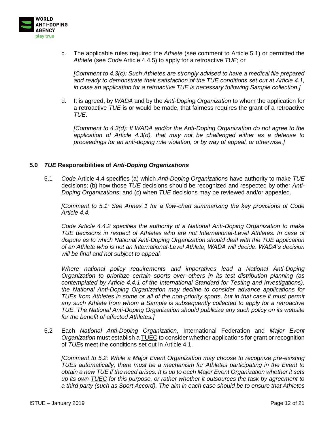

c. The applicable rules required the *Athlete* (see comment to Article 5.1) or permitted the *Athlete* (see *Code* Article 4.4.5) to apply for a retroactive *TUE*; or

*[Comment to 4.3(c): Such Athletes are strongly advised to have a medical file prepared and ready to demonstrate their satisfaction of the TUE conditions set out at Article 4.1, in case an application for a retroactive TUE is necessary following Sample collection.]*

d. It is agreed, by *WADA* and by the *Anti-Doping Organization* to whom the application for a retroactive *TUE* is or would be made, that fairness requires the grant of a retroactive *TUE*.

*[Comment to 4.3(d): If WADA and/or the Anti-Doping Organization do not agree to the application of Article 4.3(d), that may not be challenged either as a defense to proceedings for an anti-doping rule violation, or by way of appeal, or otherwise.]*

#### <span id="page-11-0"></span>**5.0** *TUE* **Responsibilities of** *Anti-Doping Organizations*

5.1 *Code* Article 4.4 specifies (a) which *Anti-Doping Organizations* have authority to make *TUE* decisions; (b) how those *TUE* decisions should be recognized and respected by other *Anti-Doping Organizations*; and (c) when *TUE* decisions may be reviewed and/or appealed.

*[Comment to 5.1: See Annex 1 for a flow-chart summarizing the key provisions of Code Article 4.4.*

*Code Article 4.4.2 specifies the authority of a National Anti-Doping Organization to make TUE decisions in respect of Athletes who are not International-Level Athletes. In case of dispute as to which National Anti-Doping Organization should deal with the TUE application of an Athlete who is not an International-Level Athlete, WADA will decide. WADA's decision will be final and not subject to appeal.*

*Where national policy requirements and imperatives lead a National Anti-Doping Organization to prioritize certain sports over others in its test distribution planning (as contemplated by Article 4.4.1 of the International Standard for Testing and Investigations), the National Anti-Doping Organization may decline to consider advance applications for TUEs from Athletes in some or all of the non-priority sports, but in that case it must permit any such Athlete from whom a Sample is subsequently collected to apply for a retroactive TUE. The National Anti-Doping Organization should publicize any such policy on its website for the benefit of affected Athletes.]*

<span id="page-11-1"></span>5.2 Each *National Anti-Doping Organization*, International Federation and *Major Event Organization* must establish a TUEC to consider whether applications for grant or recognition of *TUE*s meet the conditions set out in Article 4.1.

*[Comment to 5.2: While a Major Event Organization may choose to recognize pre-existing TUEs automatically, there must be a mechanism for Athletes participating in the Event to obtain a new TUE if the need arises. It is up to each Major Event Organization whether it sets up its own TUEC for this purpose, or rather whether it outsources the task by agreement to a third party (such as Sport Accord). The aim in each case should be to ensure that Athletes*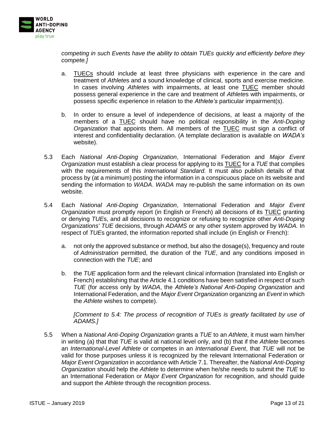

*competing in such Events have the ability to obtain TUEs quickly and efficiently before they compete.]*

- a. TUECs should include at least three physicians with experience in the care and treatment of *Athlete*s and a sound knowledge of clinical, sports and exercise medicine. In cases involving *Athlete*s with impairments, at least one TUEC member should possess general experience in the care and treatment of *Athlete*s with impairments, or possess specific experience in relation to the *Athlete's* particular impairment(s).
- b. In order to ensure a level of independence of decisions, at least a majority of the members of a TUEC should have no political responsibility in the *Anti-Doping Organization* that appoints them. All members of the TUEC must sign a conflict of interest and confidentiality declaration. (A template declaration is available on *WADA's*  website).
- 5.3 Each *National Anti-Doping Organization*, International Federation and *Major Event Organization* must establish a clear process for applying to its TUEC for a *TUE* that complies with the requirements of this *International Standard.* It must also publish details of that process by (at a minimum) posting the information in a conspicuous place on its website and sending the information to *WADA*. *WADA* may re-publish the same information on its own website.
- <span id="page-12-0"></span>5.4 Each *National Anti-Doping Organization*, International Federation and *Major Event Organization* must promptly report (in English or French) all decisions of its TUEC granting or denying *TUE*s, and all decisions to recognize or refusing to recognize other *Anti-Doping Organizations' TUE* decisions, through *ADAMS* or any other system approved by *WADA.* In respect of *TUE*s granted, the information reported shall include (in English or French):
	- a. not only the approved substance or method, but also the dosage(s), frequency and route of *Administration* permitted, the duration of the *TUE*, and any conditions imposed in connection with the *TUE*; and
	- b. the *TUE* application form and the relevant clinical information (translated into English or French) establishing that the Article 4.1 conditions have been satisfied in respect of such *TUE* (for access only by *WADA*, the *Athlete's National Anti-Doping Organization* and International Federation, and the *Major Event Organization* organizing an *Event* in which the *Athlete* wishes to compete).

*[Comment to 5.4: The process of recognition of TUEs is greatly facilitated by use of ADAMS.]*

5.5 When a *National Anti-Doping Organization* grants a *TUE* to an *Athlete*, it must warn him/her in writing (a) that that *TUE* is valid at national level only, and (b) that if the *Athlete* becomes an *International-Level Athlete* or competes in an *International Event*, that *TUE* will not be valid for those purposes unless it is recognized by the relevant International Federation or *Major Event Organization* in accordance with Article 7.1*.* Thereafter, the *National Anti-Doping Organization* should help the *Athlete* to determine when he/she needs to submit the *TUE* to an International Federation or *Major Event Organization* for recognition, and should guide and support the *Athlete* through the recognition process.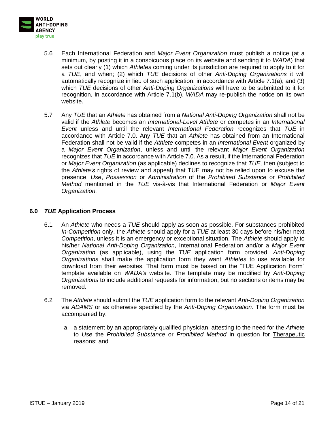

- 5.6 Each International Federation and *Major Event Organization* must publish a notice (at a minimum, by posting it in a conspicuous place on its website and sending it to *WADA*) that sets out clearly (1) which *Athletes* coming under its jurisdiction are required to apply to it for a *TUE*, and when; (2) which *TUE* decisions of other *Anti-Doping Organizations* it will automatically recognize in lieu of such application, in accordance with Article 7.1(a); and (3) which *TUE* decisions of other *Anti-Doping Organizations* will have to be submitted to it for recognition, in accordance with Article 7.1(b). *WADA* may re-publish the notice on its own website.
- 5.7 Any *TUE* that an *Athlete* has obtained from a *National Anti-Doping Organization* shall not be valid if the *Athlete* becomes an *International-Level Athlete* or competes in an *International Event* unless and until the relevant *International Federation* recognizes that *TUE* in accordance with Article 7.0. Any *TUE* that an *Athlete* has obtained from an International Federation shall not be valid if the *Athlete* competes in an *International Event* organized by a *Major Event Organization*, unless and until the relevant *Major Event Organization*  recognizes that *TUE* in accordance with Article [7.0.](#page-15-0) As a result, if the International Federation or *Major Event Organization* (as applicable) declines to recognize that *TUE*, then (subject to the *Athlete's* rights of review and appeal) that TUE may not be relied upon to excuse the presence, *Use*, *Possession* or *Administration* of the *Prohibited Substance* or *Prohibited Method* mentioned in the *TUE* vis-à-vis that International Federation or *Major Event Organization.*

#### <span id="page-13-0"></span>**6.0** *TUE* **Application Process**

- 6.1 An *Athlete* who needs a *TUE* should apply as soon as possible. For substances prohibited *In-Competition* only, the *Athlete* should apply for a *TUE* at least 30 days before his/her next *Competition*, unless it is an emergency or exceptional situation. The *Athlete* should apply to his/her *National Anti-Doping Organization*, International Federation and/or a *Major Event Organization* (as applicable), using the *TUE* application form provided. *Anti-Doping Organizations* shall make the application form they want *Athletes* to use available for download from their websites. That form must be based on the "TUE Application Form" template available on *WADA's* website. The template may be modified by *Anti-Doping Organizations* to include additional requests for information, but no sections or items may be removed.
- 6.2 The *Athlete* should submit the *TUE* application form to the relevant *Anti-Doping Organization* via *ADAMS* or as otherwise specified by the *Anti-Doping Organization*. The form must be accompanied by:
	- a. a statement by an appropriately qualified physician, attesting to the need for the *Athlete*  to *Use* the *Prohibited Substance* or *Prohibited Method* in question for Therapeutic reasons; and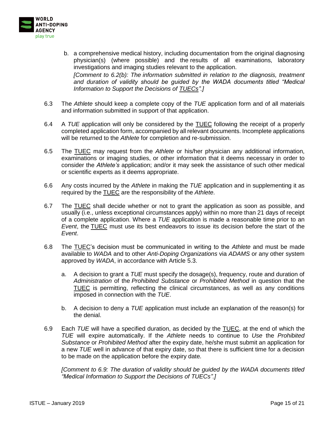

- b. a comprehensive medical history, including documentation from the original diagnosing physician(s) (where possible) and the results of all examinations, laboratory investigations and imaging studies relevant to the application. *[Comment to 6.2(b): The information submitted in relation to the diagnosis, treatment and duration of validity should be guided by the WADA documents titled "Medical Information to Support the Decisions of TUECs".]*
- 6.3 The *Athlete* should keep a complete copy of the *TUE* application form and of all materials and information submitted in support of that application.
- 6.4 A *TUE* application will only be considered by the TUEC following the receipt of a properly completed application form, accompanied by all relevant documents. Incomplete applications will be returned to the *Athlete* for completion and re-submission.
- 6.5 The TUEC may request from the *Athlete* or his/her physician any additional information, examinations or imaging studies, or other information that it deems necessary in order to consider the *Athlete's* application; and/or it may seek the assistance of such other medical or scientific experts as it deems appropriate.
- 6.6 Any costs incurred by the *Athlete* in making the *TUE* application and in supplementing it as required by the TUEC are the responsibility of the *Athlete*.
- 6.7 The TUEC shall decide whether or not to grant the application as soon as possible, and usually (i.e., unless exceptional circumstances apply) within no more than 21 days of receipt of a complete application. Where a *TUE* application is made a reasonable time prior to an *Event*, the TUEC must use its best endeavors to issue its decision before the start of the *Event*.
- 6.8 The TUEC's decision must be communicated in writing to the *Athlete* and must be made available to *WADA* and to other *Anti-Doping Organizations* via *ADAMS* or any other system approved by *WADA*, in accordance with Article [5.3.](#page-12-0)
	- a. A decision to grant a *TUE* must specify the dosage(s), frequency, route and duration of *Administration* of the *Prohibited Substance* or *Prohibited Method* in question that the TUEC is permitting, reflecting the clinical circumstances, as well as any conditions imposed in connection with the *TUE*.
	- b. A decision to deny a *TUE* application must include an explanation of the reason(s) for the denial.
- 6.9 Each *TUE* will have a specified duration, as decided by the TUEC, at the end of which the *TUE* will expire automatically. If the *Athlete* needs to continue to *Use* the *Prohibited Substance* or *Prohibited Method* after the expiry date, he/she must submit an application for a new *TUE* well in advance of that expiry date, so that there is sufficient time for a decision to be made on the application before the expiry date*.*

*[Comment to 6.9: The duration of validity should be guided by the WADA documents titled "Medical Information to Support the Decisions of TUECs".]*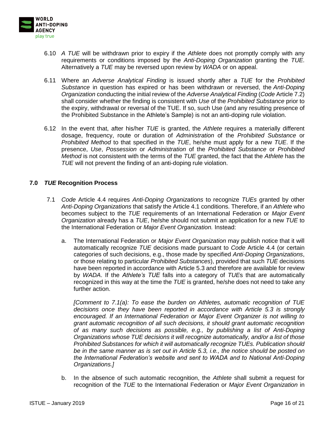

- 6.10 *A TUE* will be withdrawn prior to expiry if the *Athlete* does not promptly comply with any requirements or conditions imposed by the *Anti-Doping Organization* granting the *TUE*. Alternatively a *TUE* may be reversed upon review by *WADA* or on appeal.
- 6.11 Where an *Adverse Analytical Finding* is issued shortly after a *TUE* for the *Prohibited Substance* in question has expired or has been withdrawn or reversed, the *Anti-Doping Organization* conducting the initial review of the *Adverse Analytical Finding* (*Code* Article 7.2) shall consider whether the finding is consistent with *Use* of the *Prohibited Substance* prior to the expiry, withdrawal or reversal of the TUE. If so, such Use (and any resulting presence of the Prohibited Substance in the Athlete's Sample) is not an anti-doping rule violation.
- 6.12 In the event that, after his/her *TUE* is granted, the *Athlete* requires a materially different dosage, frequency, route or duration of *Administration* of the *Prohibited Substance* or *Prohibited Method* to that specified in the *TUE*, he/she must apply for a new *TUE*. If the presence, *Use*, *Possession* or *Administration* of the *Prohibited Substance* or *Prohibited Method* is not consistent with the terms of the *TUE* granted, the fact that the *Athlete* has the *TUE* will not prevent the finding of an anti-doping rule violation.

#### <span id="page-15-0"></span>**7.0** *TUE* **Recognition Process**

- 7.1 *Code* Article 4.4 requires *Anti-Doping Organizations* to recognize *TUEs* granted by other *Anti-Doping Organizations* that satisfy the Article 4.1 conditions. Therefore, if an *Athlete* who becomes subject to the *TUE* requirements of an International Federation or *Major Event Organization* already has a *TUE*, he/she should not submit an application for a new *TUE* to the International Federation or *Major Event Organization.* Instead:
	- a. The International Federation or *Major Event Organization* may publish notice that it will automatically recognize *TUE* decisions made pursuant to *Code* Article 4.4 (or certain categories of such decisions, e.g., those made by specified *Anti-Doping Organizations*, or those relating to particular *Prohibited Substances*), provided that such *TUE* decisions have been reported in accordance with Article [5.3](#page-12-0) and therefore are available for review by *WADA*. If the *Athlete's TUE* falls into a category of *TUE*s that are automatically recognized in this way at the time the *TUE* is granted, he/she does not need to take any further action.

*[Comment to 7.1(a): To ease the burden on Athletes, automatic recognition of TUE decisions once they have been reported in accordance with Article [5.3](#page-12-0) is strongly encouraged. If an International Federation or Major Event Organizer is not willing to grant automatic recognition of all such decisions, it should grant automatic recognition of as many such decisions as possible, e.g., by publishing a list of Anti-Doping Organizations whose TUE decisions it will recognize automatically, and/or a list of those Prohibited Substances for which it will automatically recognize TUEs. Publication should be in the same manner as is set out in Article 5.3, i.e., the notice should be posted on the International Federation's website and sent to WADA and to National Anti-Doping Organizations.]*

b. In the absence of such automatic recognition, the *Athlete* shall submit a request for recognition of the *TUE* to the International Federation or *Major Event Organization* in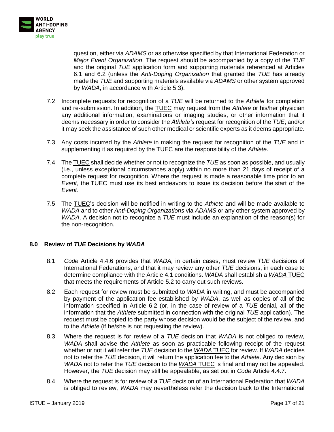

question, either via *ADAMS* or as otherwise specified by that International Federation or *Major Event Organization*. The request should be accompanied by a copy of the *TUE* and the original *TUE* application form and supporting materials referenced at Articles 6.1 and 6.2 (unless the *Anti-Doping Organization* that granted the *TUE* has already made the *TUE* and supporting materials available via *ADAMS* or other system approved by *WADA*, in accordance with Article [5.3\)](#page-12-0).

- 7.2 Incomplete requests for recognition of a *TUE* will be returned to the *Athlete* for completion and re-submission. In addition, the TUEC may request from the *Athlete* or his/her physician any additional information, examinations or imaging studies, or other information that it deems necessary in order to consider the *Athlete's* request for recognition of the *TUE*; and/or it may seek the assistance of such other medical or scientific experts as it deems appropriate.
- 7.3 Any costs incurred by the *Athlete* in making the request for recognition of the *TUE* and in supplementing it as required by the TUEC are the responsibility of the *Athlete*.
- 7.4 The TUEC shall decide whether or not to recognize the *TUE* as soon as possible, and usually (i.e., unless exceptional circumstances apply) within no more than 21 days of receipt of a complete request for recognition. Where the request is made a reasonable time prior to an *Event*, the TUEC must use its best endeavors to issue its decision before the start of the *Event*.
- 7.5 The TUEC's decision will be notified in writing to the *Athlete* and will be made available to *WADA* and to other *Anti-Doping Organizations* via *ADAMS* or any other system approved by *WADA*. A decision not to recognize a *TUE* must include an explanation of the reason(s) for the non-recognition.

#### <span id="page-16-0"></span>**8.0 Review of** *TUE* **Decisions by** *WADA*

- 8.1 *Code* Article 4.4.6 provides that *WADA,* in certain cases, must review *TUE* decisions of International Federations, and that it may review any other *TUE* decisions, in each case to determine compliance with the Article 4.1 conditions. *WADA* shall establish a *WADA* TUEC that meets the requirements of Article [5.2](#page-11-1) to carry out such reviews.
- 8.2 Each request for review must be submitted to *WADA* in writing, and must be accompanied by payment of the application fee established by *WADA*, as well as copies of all of the information specified in Article 6.2 (or, in the case of review of a *TUE* denial, all of the information that the *Athlete* submitted in connection with the original *TUE* application). The request must be copied to the party whose decision would be the subject of the review, and to the *Athlete* (if he/she is not requesting the review).
- 8.3 Where the request is for review of a *TUE* decision that *WADA* is not obliged to review, *WADA* shall advise the *Athlete* as soon as practicable following receipt of the request whether or not it will refer the *TUE* decision to the *WADA* TUEC for review. If *WADA* decides not to refer the *TUE* decision, it will return the application fee to the *Athlete*. Any decision by *WADA* not to refer the *TUE* decision to the *WADA* TUEC is final and may not be appealed. However, the *TUE* decision may still be appealable, as set out in *Code* Article 4.4.7.
- 8.4 Where the request is for review of a *TUE* decision of an International Federation that *WADA* is obliged to review, *WADA* may nevertheless refer the decision back to the International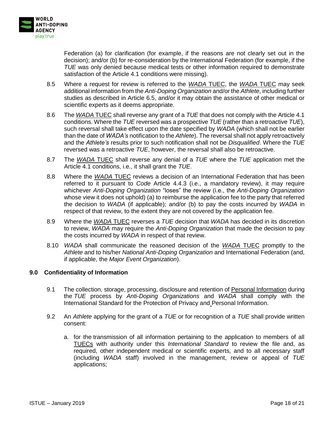

Federation (a) for clarification (for example, if the reasons are not clearly set out in the decision); and/or (b) for re-consideration by the International Federation (for example, if the *TUE* was only denied because medical tests or other information required to demonstrate satisfaction of the Article 4.1 conditions were missing).

- 8.5 Where a request for review is referred to the *WADA* TUEC, the *WADA* TUEC may seek additional information from the *Anti-Doping Organization* and/or the *Athlete*, including further studies as described in Article 6.5, and/or it may obtain the assistance of other medical or scientific experts as it deems appropriate.
- 8.6 The *WADA* TUEC shall reverse any grant of a *TUE* that does not comply with the Article 4.1 conditions. Where the *TUE* reversed was a prospective *TUE* (rather than a retroactive *TUE*), such reversal shall take effect upon the date specified by *WADA* (which shall not be earlier than the date of *WADA's* notification to the *Athlete*). The reversal shall not apply retroactively and the *Athlete's* results prior to such notification shall not be *Disqualified*. Where the *TUE* reversed was a retroactive *TUE*, however, the reversal shall also be retroactive.
- 8.7 The *WADA* TUEC shall reverse any denial of a *TUE* where the *TUE* application met the Article 4.1 conditions, i.e., it shall grant the *TUE*.
- 8.8 Where the *WADA* TUEC reviews a decision of an International Federation that has been referred to it pursuant to *Code* Article 4.4.3 (i.e., a mandatory review), it may require whichever *Anti-Doping Organization* "loses" the review (i.e., the *Anti-Doping Organization*  whose view it does not uphold) (a) to reimburse the application fee to the party that referred the decision to *WADA* (if applicable); and/or (b) to pay the costs incurred by *WADA* in respect of that review, to the extent they are not covered by the application fee.
- 8.9 Where the *WADA* TUEC reverses a *TUE* decision that *WADA* has decided in its discretion to review, *WADA* may require the *Anti-Doping Organization* that made the decision to pay the costs incurred by *WADA* in respect of that review.
- 8.10 *WADA* shall communicate the reasoned decision of the *WADA* TUEC promptly to the *Athlete* and to his/her *National Anti-Doping Organization* and International Federation (and, if applicable, the *Major Event Organization*).

#### <span id="page-17-0"></span>**9.0 Confidentiality of Information**

- 9.1 The collection, storage, processing, disclosure and retention of Personal Information during the *TUE* process by *Anti-Doping Organizations* and *WADA* shall comply with the International Standard for the Protection of Privacy and Personal Information.
- 9.2 An *Athlete* applying for the grant of a *TUE* or for recognition of a *TUE* shall provide written consent:
	- a. for the transmission of all information pertaining to the application to members of all TUECs with authority under this *International Standard* to review the file and, as required, other independent medical or scientific experts, and to all necessary staff (including *WADA* staff) involved in the management, review or appeal of *TUE* applications;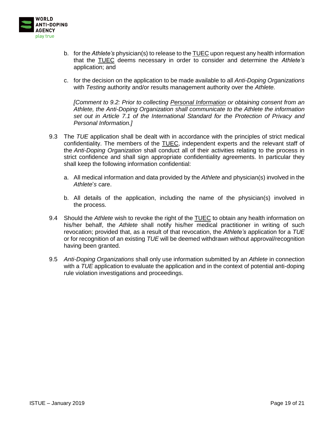

- b. for the *Athlete's* physician(s) to release to the TUEC upon request any health information that the TUEC deems necessary in order to consider and determine the *Athlete's* application; and
- c. for the decision on the application to be made available to all *Anti-Doping Organizations*  with *Testing* authority and/or results management authority over the *Athlete.*

*[Comment to 9.2: Prior to collecting Personal Information or obtaining consent from an Athlete, the Anti-Doping Organization shall communicate to the Athlete the information set out in Article 7.1 of the International Standard for the Protection of Privacy and Personal Information.]*

- 9.3 The *TUE* application shall be dealt with in accordance with the principles of strict medical confidentiality. The members of the TUEC, independent experts and the relevant staff of the *Anti-Doping Organization* shall conduct all of their activities relating to the process in strict confidence and shall sign appropriate confidentiality agreements. In particular they shall keep the following information confidential:
	- a. All medical information and data provided by the *Athlete* and physician(s) involved in the *Athlete*'*s* care.
	- b. All details of the application, including the name of the physician(s) involved in the process.
- 9.4 Should the *Athlete* wish to revoke the right of the TUEC to obtain any health information on his/her behalf, the *Athlete* shall notify his/her medical practitioner in writing of such revocation; provided that, as a result of that revocation, the *Athlete's* application for a *TUE* or for recognition of an existing *TUE* will be deemed withdrawn without approval/recognition having been granted.
- 9.5 *Anti-Doping Organizations* shall only use information submitted by an *Athlete* in connection with a *TUE* application to evaluate the application and in the context of potential anti-doping rule violation investigations and proceedings.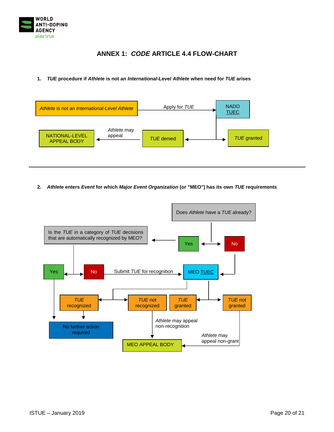

## **ANNEX 1:** *CODE* **ARTICLE 4.4 FLOW-CHART**

#### <span id="page-19-0"></span>**1.** *TUE* **procedure if** *Athlete* **is not an** *International-Level Athlete* **when need for** *TUE* **arises**



**2.** *Athlete* **enters** *Event* **for which** *Major Event Organization* **(or "MEO") has its own** *TUE* **requirements**